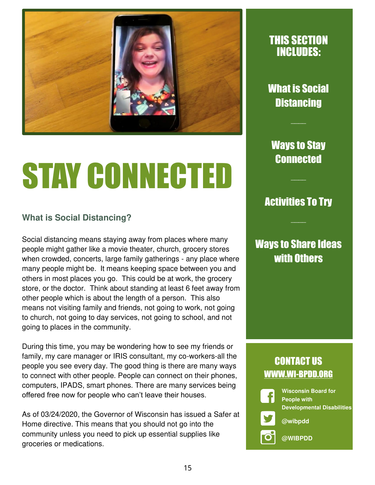

# STAY CONNECTED

#### **What is Social Distancing?**

Social distancing means staying away from places where many people might gather like a movie theater, church, grocery stores when crowded, concerts, large family gatherings - any place where many people might be. It means keeping space between you and others in most places you go. This could be at work, the grocery store, or the doctor. Think about standing at least 6 feet away from other people which is about the length of a person. This also means not visiting family and friends, not going to work, not going to church, not going to day services, not going to school, and not going to places in the community.

During this time, you may be wondering how to see my friends or family, my care manager or IRIS consultant, my co-workers-all the people you see every day. The good thing is there are many ways to connect with other people. People can connect on their phones, computers, IPADS, smart phones. There are many services being offered free now for people who can't leave their houses.

As of 03/24/2020, the Governor of Wisconsin has issued a Safer at Home directive. This means that you should not go into the community unless you need to pick up essential supplies like groceries or medications.

### THIS SECTION INCLUDES:

What is Social **Distancing** 

 $\overline{\phantom{a}}$ 

Ways to Stay Connected

### Activities To Try

 $\overline{\phantom{a}}$ 

 $\overline{\phantom{a}}$ 

### **Ways to Share Ideas** with Others

### CONTACT US WWW.WI-BPDD.ORG

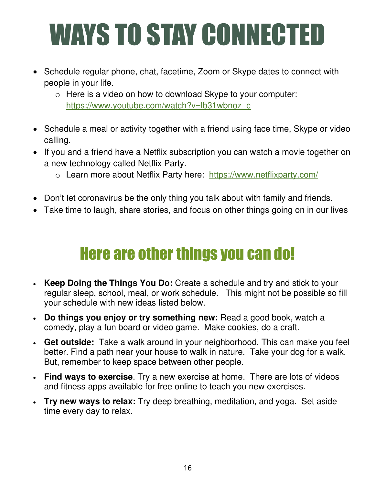## WAYS TO STAY CONNECTED

- Schedule regular phone, chat, facetime, Zoom or Skype dates to connect with people in your life.
	- o Here is a video on how to download Skype to your computer: [https://www.youtube.com/watch?v=lb31wbnoz\\_c](https://www.youtube.com/watch?v=lb31wbnoz_c)
- Schedule a meal or activity together with a friend using face time, Skype or video calling.
- If you and a friend have a Netflix subscription you can watch a movie together on a new technology called Netflix Party.
	- o Learn more about Netflix Party here: <https://www.netflixparty.com/>
- Don't let coronavirus be the only thing you talk about with family and friends.
- Take time to laugh, share stories, and focus on other things going on in our lives

### Here are other things you can do!

- **Keep Doing the Things You Do:** Create a schedule and try and stick to your regular sleep, school, meal, or work schedule. This might not be possible so fill your schedule with new ideas listed below.
- **Do things you enjoy or try something new:** Read a good book, watch a comedy, play a fun board or video game. Make cookies, do a craft.
- **Get outside:** Take a walk around in your neighborhood. This can make you feel better. Find a path near your house to walk in nature. Take your dog for a walk. But, remember to keep space between other people.
- **Find ways to exercise**. Try a new exercise at home. There are lots of videos and fitness apps available for free online to teach you new exercises.
- **Try new ways to relax:** Try deep breathing, meditation, and yoga. Set aside time every day to relax.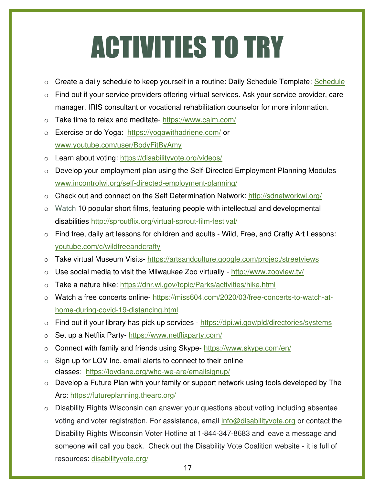### ACTIVITIES TO TRY

- o Create a daily schedule to keep yourself in a routine: Daily [Schedule](https://cdn.shopify.com/s/files/1/1015/4487/files/Learning_From_Home_Daily_Planner.pdf?v=1584556182&utm_campaign=WFH%20w%2F%20Kids%20-%20Free%20Resources%20%283%2F19%2F20%29%20%28HA8jWu%29&utm_medium=email&utm_source=New%20Engaged%20Full%20List%20-%20365%20%28Newsletters%2FPromos%29&_ke=eyJrbF9lbWFpbCI6ICJtb2xiYXJyMTNAZ21haWwuY29tIiwgImtsX2NvbXBhbnlfaWQiOiAiamZaV254In0%3D) Template: Schedule
- o Find out if your service providers offering virtual services. Ask your service provider, care manager, IRIS consultant or vocational rehabilitation counselor for more information.
- o Take time to relax and meditate- <https://www.calm.com/>
- o Exercise or do Yoga: <https://yogawithadriene.com/>or [www.youtube.com/user/BodyFitByAmy](http://www.youtube.com/user/BodyFitByAmy)
- o Learn about voting:<https://disabilityvote.org/videos/>
- o Develop your employment plan using the Self-Directed Employment Planning Modules [www.incontrolwi.org/self-directed-employment-planning/](http://www.incontrolwi.org/self-directed-employment-planning/)
- o Check out and connect on the Self Determination Network:<http://sdnetworkwi.org/>
- o Watch 10 popular short films, featuring people with intellectual and developmental disabilities<http://sproutflix.org/virtual-sprout-film-festival/>
- o Find free, daily art lessons for children and adults Wild, Free, and Crafty Art Lessons: [youtube.com/c/wildfreeandcrafty](https://www.youtube.com/c/wildfreeandcrafty)
- o Take virtual Museum Visits-<https://artsandculture.google.com/project/streetviews>
- o Use social media to visit the Milwaukee Zoo virtually -<http://www.zooview.tv/>
- o Take a nature hike:<https://dnr.wi.gov/topic/Parks/activities/hike.html>
- o Watch a free concerts online- [https://miss604.com/2020/03/free-concerts-to-watch-at](https://miss604.com/2020/03/free-concerts-to-watch-at-home-during-covid-19-distancing.html)[home-during-covid-19-distancing.html](https://miss604.com/2020/03/free-concerts-to-watch-at-home-during-covid-19-distancing.html)
- o Find out if your library has pick up services <https://dpi.wi.gov/pld/directories/systems>
- o Set up a Netflix Party- <https://www.netflixparty.com/>
- o Connect with family and friends using Skype-<https://www.skype.com/en/>
- $\circ$  Sign up for LOV Inc. email alerts to connect to their online classes: [https://lovdane.org/who-we-are/emailsignup/](https://secure-web.cisco.com/15Hq1dm9mbCyX2cHA1cyNp95fO6RvhWeAP6ZS-dSPyeDME8GPFeodEB0FjxJSlCrp8-692knQa7U5T4GsPUoLRQom6sj3IGKa8fFYMPGAyKXAISgwuuVnrZpgQYRP04bUWxf5m92Vf-1M1V27CxpEsOKCQ8lVCvnh4ebgJsEDihQ8slx0sbyrMfVyPsJ1TUCAV5OdqPwK8hRtulFu2nf2QPsfs5R-OIXA_bkoA4_WxC_Q-_iYGDaO68xix_qF10KLW8N_uI4QSDkoBYRa0-R0VA/https%3A%2F%2Flovdane.org%2Fwho-we-are%2Femailsignup%2F)
- o Develop a Future Plan with your family or support network using tools developed by The Arc:<https://futureplanning.thearc.org/>
- o Disability Rights Wisconsin can answer your questions about voting including absentee voting and voter registration. For assistance, email [info@disabilityvote.org](mailto:info@disabilityvote.org) or contact the Disability Rights Wisconsin Voter Hotline at 1-844-347-8683 and leave a message and someone will call you back. Check out the Disability Vote Coalition website - it is full of resources: [disabilityvote.org/](http://secure-web.cisco.com/1E4fHnpi1AdQeoPN8WkYjmDMOvrz3GRKP4zzp-0q3uDm5-FbRLapR0XkP49QhjF-maGhlZ4F02E-Cy7mo2hlJdVR4UTGLgdB53dYAzP7RqkuhmetrvszDnuHmSGLMRhk4hEZTTaDZPkeO0geBSZc3m1_v1yyy9iT6dTzhQctAM7vmzZteYhWfXDYd5T6wTdtf_-imLjYiiS6wHlHJ3BwOeiuzA0KewQ_QBa3eeRgHjM3mxX7TSphmvISu-F2HrizKUCmBHzFSfi3NThSKND-oZA/http%3A%2F%2Fdisabilityvote.org%2F)